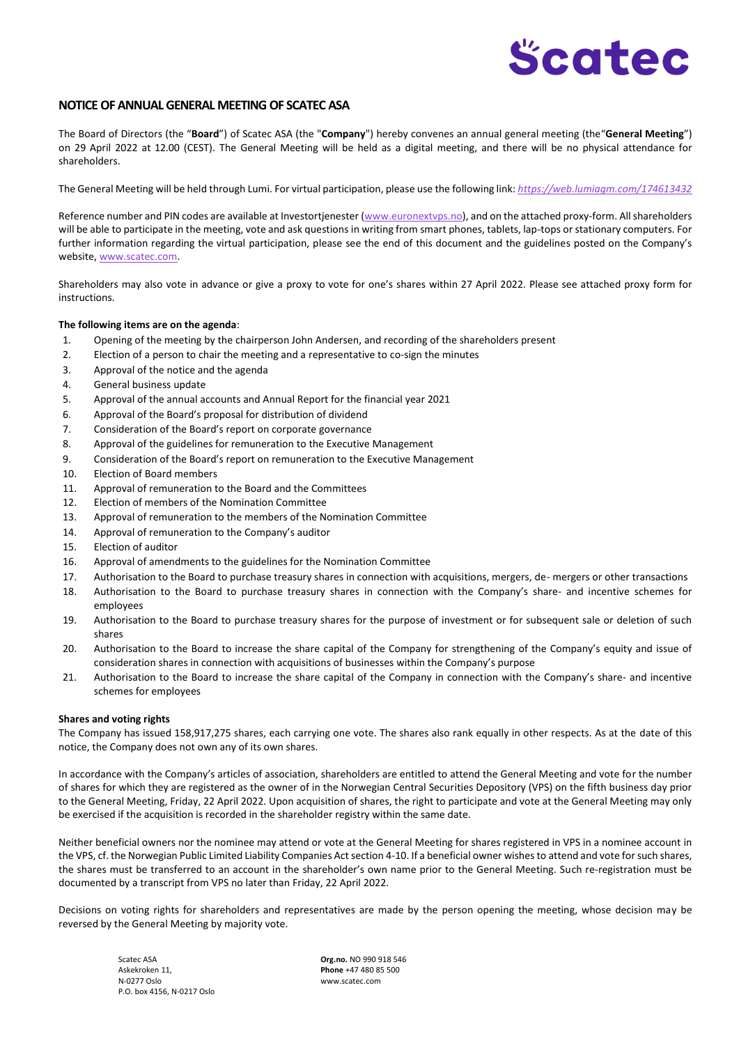# Scatec

# **NOTICE OF ANNUAL GENERAL MEETING OF SCATEC ASA**

The Board of Directors (the "**Board**") of Scatec ASA (the "**Company**") hereby convenes an annual general meeting (the"**General Meeting**") on 29 April 2022 at 12.00 (CEST). The General Meeting will be held as a digital meeting, and there will be no physical attendance for shareholders.

The General Meeting will be held through Lumi. For virtual participation, please use the following link: *<https://web.lumiagm.com/174613432>*

Reference number and PIN codes are available at Investortjenester (www.euronextyps.no), and on the attached proxy-form. All shareholders will be able to participate in the meeting, vote and ask questions in writing from smart phones, tablets, lap-tops or stationary computers. For further information regarding the virtual participation, please see the end of this document and the guidelines posted on the Company's website[, www.scatec.com.](http://www.scatec.com/)

Shareholders may also vote in advance or give a proxy to vote for one's shares within 27 April 2022. Please see attached proxy form for instructions.

## **The following items are on the agenda**:

- 1. Opening of the meeting by the chairperson John Andersen, and recording of the shareholders present
- 2. Election of a person to chair the meeting and a representative to co-sign the minutes
- 3. Approval of the notice and the agenda
- 4. General business update
- 5. Approval of the annual accounts and Annual Report for the financial year 2021
- 6. Approval of the Board's proposal for distribution of dividend
- 7. Consideration of the Board's report on corporate governance
- 8. Approval of the guidelines for remuneration to the Executive Management
- 9. Consideration of the Board's report on remuneration to the Executive Management
- 10. Election of Board members
- 11. Approval of remuneration to the Board and the Committees
- 12. Election of members of the Nomination Committee
- 13. Approval of remuneration to the members of the Nomination Committee
- 14. Approval of remuneration to the Company's auditor
- 15. Election of auditor
- 16. Approval of amendments to the guidelines for the Nomination Committee
- 17. Authorisation to the Board to purchase treasury shares in connection with acquisitions, mergers, de- mergers or other transactions
- 18. Authorisation to the Board to purchase treasury shares in connection with the Company's share- and incentive schemes for employees
- 19. Authorisation to the Board to purchase treasury shares for the purpose of investment or for subsequent sale or deletion of such shares
- 20. Authorisation to the Board to increase the share capital of the Company for strengthening of the Company's equity and issue of consideration shares in connection with acquisitions of businesses within the Company's purpose
- 21. Authorisation to the Board to increase the share capital of the Company in connection with the Company's share- and incentive schemes for employees

## **Shares and voting rights**

The Company has issued 158,917,275 shares, each carrying one vote. The shares also rank equally in other respects. As at the date of this notice, the Company does not own any of its own shares.

In accordance with the Company's articles of association, shareholders are entitled to attend the General Meeting and vote for the number of shares for which they are registered as the owner of in the Norwegian Central Securities Depository (VPS) on the fifth business day prior to the General Meeting, Friday, 22 April 2022. Upon acquisition of shares, the right to participate and vote at the General Meeting may only be exercised if the acquisition is recorded in the shareholder registry within the same date.

Neither beneficial owners nor the nominee may attend or vote at the General Meeting for shares registered in VPS in a nominee account in the VPS, cf. the Norwegian Public Limited Liability Companies Act section 4-10. If a beneficial owner wishes to attend and vote for such shares, the shares must be transferred to an account in the shareholder's own name prior to the General Meeting. Such re-registration must be documented by a transcript from VPS no later than Friday, 22 April 2022.

Decisions on voting rights for shareholders and representatives are made by the person opening the meeting, whose decision may be reversed by the General Meeting by majority vote.

Askekroken 11, **Phone** +47 480 85 500 N-0277 Oslo www.scatec.com P.O. box 4156, N-0217 Oslo

Scatec ASA **Org.no.** NO 990 918 546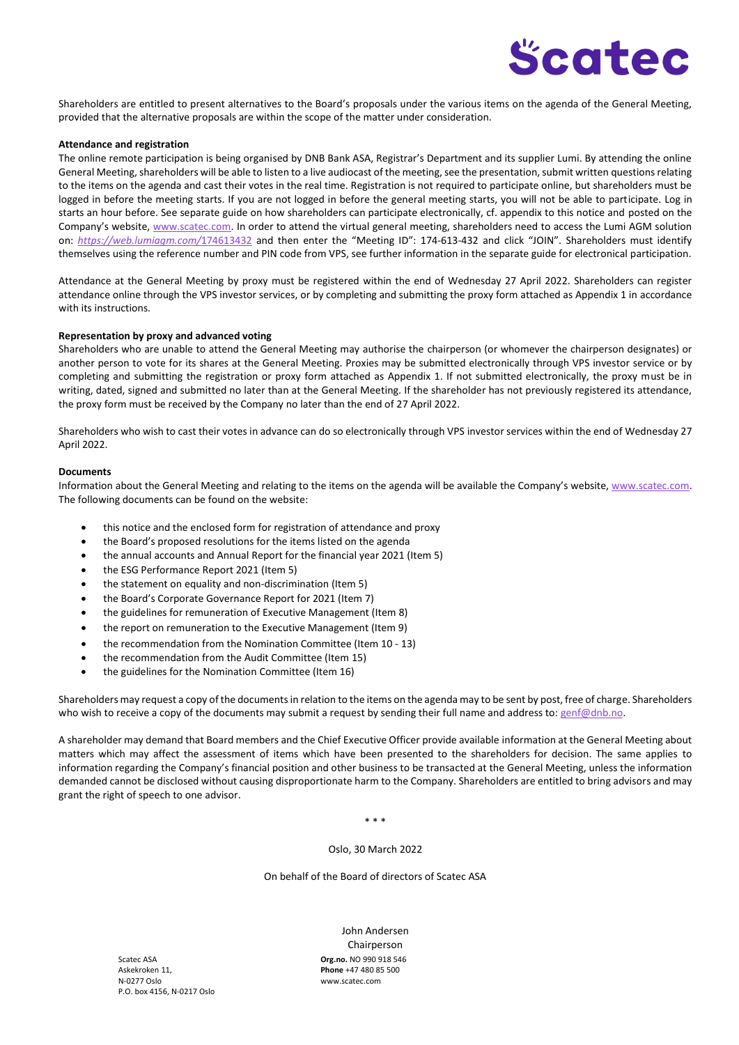

Shareholders are entitled to present alternatives to the Board's proposals under the various items on the agenda of the General Meeting, provided that the alternative proposals are within the scope of the matter under consideration.

## **Attendance and registration**

The online remote participation is being organised by DNB Bank ASA, Registrar's Department and its supplier Lumi. By attending the online General Meeting, shareholders will be able to listen to a live audiocast of the meeting, see the presentation, submit written questions relating to the items on the agenda and cast their votes in the real time. Registration is not required to participate online, but shareholders must be logged in before the meeting starts. If you are not logged in before the general meeting starts, you will not be able to participate. Log in starts an hour before. See separate guide on how shareholders can participate electronically, cf. appendix to this notice and posted on the Company's website, [www.scatec.com.](http://www.scatec.com/) In order to attend the virtual general meeting, shareholders need to access the Lumi AGM solution on: *<https://web.lumiagm.com/>*[174613432](https://web.lumiagm.com/#/174613432) and then enter the "Meeting ID": 174-613-432 and click "JOIN". Shareholders must identify themselves using the reference number and PIN code from VPS, see further information in the separate guide for electronical participation.

Attendance at the General Meeting by proxy must be registered within the end of Wednesday 27 April 2022. Shareholders can register attendance online through the VPS investor services, or by completing and submitting the proxy form attached as Appendix 1 in accordance with its instructions.

#### **Representation by proxy and advanced voting**

Shareholders who are unable to attend the General Meeting may authorise the chairperson (or whomever the chairperson designates) or another person to vote for its shares at the General Meeting. Proxies may be submitted electronically through VPS investor service or by completing and submitting the registration or proxy form attached as Appendix 1. If not submitted electronically, the proxy must be in writing, dated, signed and submitted no later than at the General Meeting. If the shareholder has not previously registered its attendance, the proxy form must be received by the Company no later than the end of 27 April 2022.

Shareholders who wish to cast their votes in advance can do so electronically through VPS investor services within the end of Wednesday 27 April 2022.

## **Documents**

Information about the General Meeting and relating to the items on the agenda will be available the Company's website, www.scatec.com. The following documents can be found on the website:

- this notice and the enclosed form for registration of attendance and proxy
- the Board's proposed resolutions for the items listed on the agenda
- the annual accounts and Annual Report for the financial year 2021 (Item 5)
- the ESG Performance Report 2021 (Item 5)
- the statement on equality and non-discrimination (Item 5)
- the Board's Corporate Governance Report for 2021 (Item 7)
- the guidelines for remuneration of Executive Management (Item 8)
- the report on remuneration to the Executive Management (Item 9)
- the recommendation from the Nomination Committee (Item 10 13)
- the recommendation from the Audit Committee (Item 15)
- the guidelines for the Nomination Committee (Item 16)

Shareholders may request a copy of the documents in relation to the items on the agenda may to be sent by post, free of charge. Shareholders who wish to receive a copy of the documents may submit a request by sending their full name and address to: [genf@dnb.no.](mailto:genf@dnb.no)

A shareholder may demand that Board members and the Chief Executive Officer provide available information at the General Meeting about matters which may affect the assessment of items which have been presented to the shareholders for decision. The same applies to information regarding the Company's financial position and other business to be transacted at the General Meeting, unless the information demanded cannot be disclosed without causing disproportionate harm to the Company. Shareholders are entitled to bring advisors and may grant the right of speech to one advisor.

\* \* \*

Oslo, 30 March 2022

On behalf of the Board of directors of Scatec ASA

Askekroken 11, **Phone** +47 480 85 500 N-0277 Oslo www.scatec.com P.O. box 4156, N-0217 Oslo

Scatec ASA **Org.no.** NO 990 918 546 John Andersen Chairperson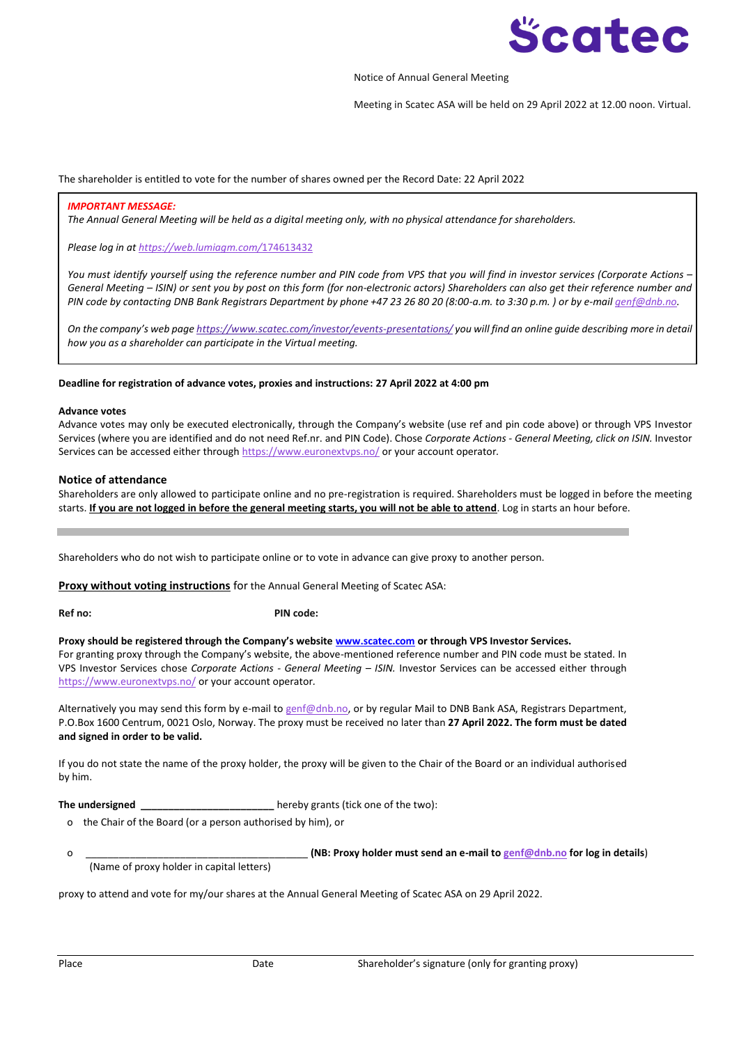

## Notice of Annual General Meeting

Meeting in Scatec ASA will be held on 29 April 2022 at 12.00 noon. Virtual.

## The shareholder is entitled to vote for the number of shares owned per the Record Date: 22 April 2022

## *IMPORTANT MESSAGE:*

*The Annual General Meeting will be held as a digital meeting only, with no physical attendance for shareholders.*

*Please log in a[t https://web.lumiagm.com/](https://web.lumiagm.com/)*[174613432](https://web.lumiagm.com/#/174613432)

*You must identify yourself using the reference number and PIN code from VPS that you will find in investor services (Corporate Actions – General Meeting – ISIN) or sent you by post on this form (for non-electronic actors) Shareholders can also get their reference number and PIN code by contacting DNB Bank Registrars Department by phone +47 23 26 80 20 (8:00-a.m. to 3:30 p.m. ) or by e-mai[l genf@dnb.no.](mailto:genf@dnb.no)*

*On the company's web page <https://www.scatec.com/investor/events-presentations/> you will find an online guide describing more in detail how you as a shareholder can participate in the Virtual meeting.* 

## **Deadline for registration of advance votes, proxies and instructions: 27 April 2022 at 4:00 pm**

#### **Advance votes**

Advance votes may only be executed electronically, through the Company's website (use ref and pin code above) or through VPS Investor Services (where you are identified and do not need Ref.nr. and PIN Code). Chose *Corporate Actions - General Meeting, click on ISIN.* Investor Services can be accessed either through<https://www.euronextvps.no/> or your account operator*.*

## **Notice of attendance**

Shareholders are only allowed to participate online and no pre-registration is required. Shareholders must be logged in before the meeting starts. **If you are not logged in before the general meeting starts, you will not be able to attend**. Log in starts an hour before.

Shareholders who do not wish to participate online or to vote in advance can give proxy to another person.

**Proxy without voting instructions** for the Annual General Meeting of Scatec ASA:

**Ref no: PIN code:**

**Proxy should be registered through the Company's website www.scatec.com or through VPS Investor Services.** For granting proxy through the Company's website, the above-mentioned reference number and PIN code must be stated. In VPS Investor Services chose *Corporate Actions - General Meeting – ISIN.* Investor Services can be accessed either through <https://www.euronextvps.no/> or your account operator*.*

Alternatively you may send this form by e-mail t[o genf@dnb.no,](mailto:genf@dnb.no) or by regular Mail to DNB Bank ASA, Registrars Department, P.O.Box 1600 Centrum, 0021 Oslo, Norway. The proxy must be received no later than **27 April 2022. The form must be dated and signed in order to be valid.**

If you do not state the name of the proxy holder, the proxy will be given to the Chair of the Board or an individual authorised by him.

**The undersigned the undersigned hereby grants (tick one of the two):** 

o the Chair of the Board (or a person authorised by him), or

o \_\_\_\_\_\_\_\_\_\_\_\_\_\_\_\_\_\_\_\_\_\_\_\_\_\_\_\_\_\_\_\_\_\_\_\_\_\_\_\_ **(NB: Proxy holder must send an e-mail to [genf@dnb.no](mailto:genf@dnb.no) for log in details**) (Name of proxy holder in capital letters)

proxy to attend and vote for my/our shares at the Annual General Meeting of Scatec ASA on 29 April 2022.